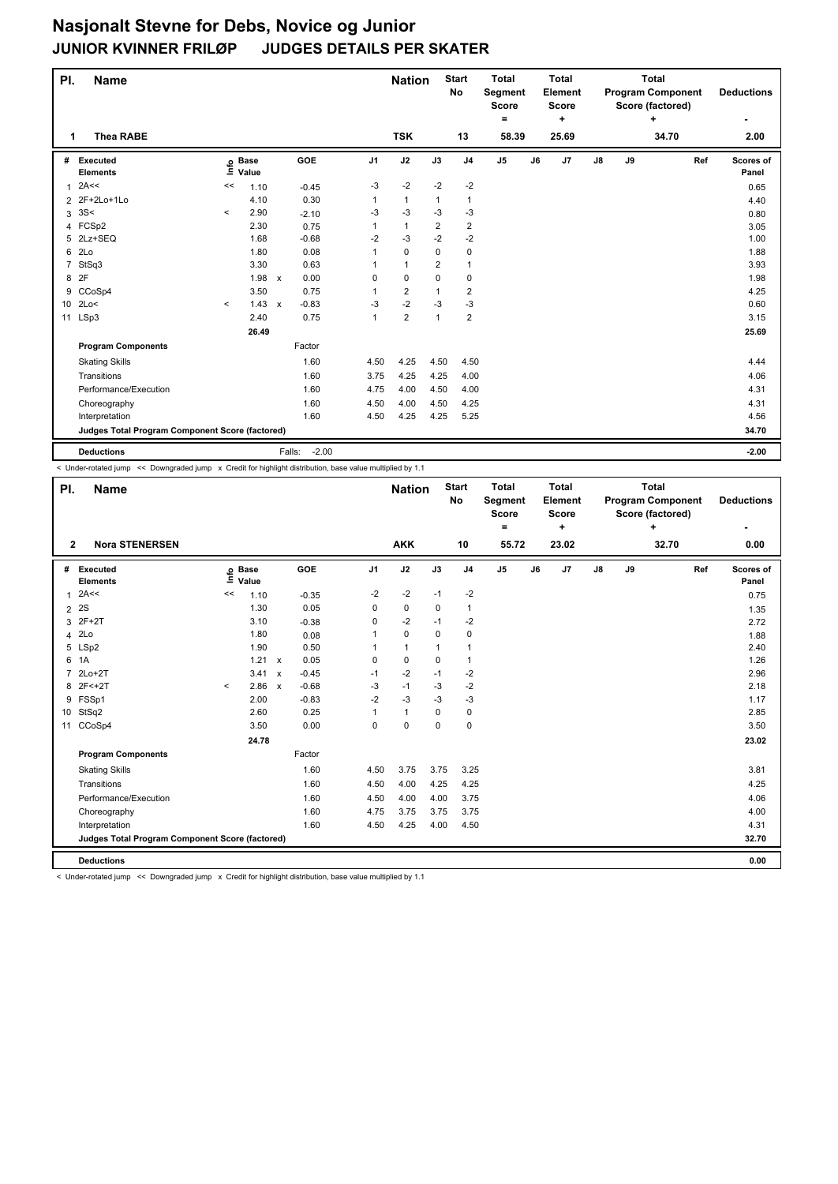| PI.            | <b>Name</b>                                     |         |                            |                      |                | <b>Nation</b>  |                | <b>Start</b><br>No      | <b>Total</b><br>Segment<br><b>Score</b><br>۰ |    | <b>Total</b><br>Element<br><b>Score</b><br>٠ |    |    | <b>Total</b><br><b>Program Component</b><br>Score (factored)<br>+ |     | <b>Deductions</b>  |
|----------------|-------------------------------------------------|---------|----------------------------|----------------------|----------------|----------------|----------------|-------------------------|----------------------------------------------|----|----------------------------------------------|----|----|-------------------------------------------------------------------|-----|--------------------|
| 1              | <b>Thea RABE</b>                                |         |                            |                      |                | <b>TSK</b>     |                | 13                      | 58.39                                        |    | 25.69                                        |    |    | 34.70                                                             |     | 2.00               |
| #              | Executed<br><b>Elements</b>                     |         | e Base<br>≡ Value<br>Value | GOE                  | J <sub>1</sub> | J2             | J3             | J <sub>4</sub>          | J <sub>5</sub>                               | J6 | J7                                           | J8 | J9 |                                                                   | Ref | Scores of<br>Panel |
| 1              | 2A<<                                            | <<      | 1.10                       | $-0.45$              | $-3$           | $-2$           | $-2$           | $-2$                    |                                              |    |                                              |    |    |                                                                   |     | 0.65               |
|                | 2 2F+2Lo+1Lo                                    |         | 4.10                       | 0.30                 |                | $\mathbf{1}$   | 1              | 1                       |                                              |    |                                              |    |    |                                                                   |     | 4.40               |
| 3              | 3S<                                             | $\prec$ | 2.90                       | $-2.10$              | $-3$           | $-3$           | $-3$           | $-3$                    |                                              |    |                                              |    |    |                                                                   |     | 0.80               |
|                | 4 FCSp2                                         |         | 2.30                       | 0.75                 | 1              | $\mathbf{1}$   | 2              | $\overline{\mathbf{c}}$ |                                              |    |                                              |    |    |                                                                   |     | 3.05               |
| 5              | 2Lz+SEQ                                         |         | 1.68                       | $-0.68$              | $-2$           | $-3$           | $-2$           | $-2$                    |                                              |    |                                              |    |    |                                                                   |     | 1.00               |
| 6              | 2 <sub>LO</sub>                                 |         | 1.80                       | 0.08                 |                | $\mathbf 0$    | 0              | 0                       |                                              |    |                                              |    |    |                                                                   |     | 1.88               |
| $\overline{7}$ | StSq3                                           |         | 3.30                       | 0.63                 |                | $\mathbf{1}$   | $\overline{2}$ | $\mathbf{1}$            |                                              |    |                                              |    |    |                                                                   |     | 3.93               |
| 8              | 2F                                              |         | 1.98                       | 0.00<br>$\mathsf{x}$ | 0              | 0              | 0              | 0                       |                                              |    |                                              |    |    |                                                                   |     | 1.98               |
| 9              | CCoSp4                                          |         | 3.50                       | 0.75                 |                | 2              | 1              | 2                       |                                              |    |                                              |    |    |                                                                   |     | 4.25               |
|                | 10 2Lo<                                         | $\prec$ | $1.43 \times$              | $-0.83$              | $-3$           | $-2$           | $-3$           | $-3$                    |                                              |    |                                              |    |    |                                                                   |     | 0.60               |
|                | 11 LSp3                                         |         | 2.40                       | 0.75                 | $\mathbf{1}$   | $\overline{2}$ | 1              | $\overline{\mathbf{c}}$ |                                              |    |                                              |    |    |                                                                   |     | 3.15               |
|                |                                                 |         | 26.49                      |                      |                |                |                |                         |                                              |    |                                              |    |    |                                                                   |     | 25.69              |
|                | <b>Program Components</b>                       |         |                            | Factor               |                |                |                |                         |                                              |    |                                              |    |    |                                                                   |     |                    |
|                | <b>Skating Skills</b>                           |         |                            | 1.60                 | 4.50           | 4.25           | 4.50           | 4.50                    |                                              |    |                                              |    |    |                                                                   |     | 4.44               |
|                | Transitions                                     |         |                            | 1.60                 | 3.75           | 4.25           | 4.25           | 4.00                    |                                              |    |                                              |    |    |                                                                   |     | 4.06               |
|                | Performance/Execution                           |         |                            | 1.60                 | 4.75           | 4.00           | 4.50           | 4.00                    |                                              |    |                                              |    |    |                                                                   |     | 4.31               |
|                | Choreography                                    |         |                            | 1.60                 | 4.50           | 4.00           | 4.50           | 4.25                    |                                              |    |                                              |    |    |                                                                   |     | 4.31               |
|                | Interpretation                                  |         |                            | 1.60                 | 4.50           | 4.25           | 4.25           | 5.25                    |                                              |    |                                              |    |    |                                                                   |     | 4.56               |
|                | Judges Total Program Component Score (factored) |         |                            |                      |                |                |                |                         |                                              |    |                                              |    |    |                                                                   |     | 34.70              |
|                | <b>Deductions</b>                               |         |                            | $-2.00$<br>Falls:    |                |                |                |                         |                                              |    |                                              |    |    |                                                                   |     | $-2.00$            |

< Under-rotated jump << Downgraded jump x Credit for highlight distribution, base value multiplied by 1.1

| PI.            | <b>Name</b>                                     |         |                            |                                      |          | <b>Nation</b> |             | <b>Start</b><br><b>No</b> | <b>Total</b><br>Segment<br><b>Score</b><br>۰ |    | <b>Total</b><br>Element<br><b>Score</b><br>٠ |               |    | <b>Total</b><br><b>Program Component</b><br>Score (factored)<br>÷ |     | <b>Deductions</b>  |
|----------------|-------------------------------------------------|---------|----------------------------|--------------------------------------|----------|---------------|-------------|---------------------------|----------------------------------------------|----|----------------------------------------------|---------------|----|-------------------------------------------------------------------|-----|--------------------|
| $\overline{2}$ | <b>Nora STENERSEN</b>                           |         |                            |                                      |          | <b>AKK</b>    |             | 10                        | 55.72                                        |    | 23.02                                        |               |    | 32.70                                                             |     | 0.00               |
| #              | <b>Executed</b><br><b>Elements</b>              |         | e Base<br>E Value<br>Value | <b>GOE</b>                           | J1       | J2            | J3          | J <sub>4</sub>            | J <sub>5</sub>                               | J6 | J7                                           | $\mathsf{J}8$ | J9 |                                                                   | Ref | Scores of<br>Panel |
| 1              | 2A<<                                            | <<      | 1.10                       | $-0.35$                              | $-2$     | $-2$          | $-1$        | $-2$                      |                                              |    |                                              |               |    |                                                                   |     | 0.75               |
| $\overline{2}$ | 2S                                              |         | 1.30                       | 0.05                                 | 0        | 0             | 0           | 1                         |                                              |    |                                              |               |    |                                                                   |     | 1.35               |
|                | 3 2F+2T                                         |         | 3.10                       | $-0.38$                              | 0        | $-2$          | $-1$        | $-2$                      |                                              |    |                                              |               |    |                                                                   |     | 2.72               |
| $\overline{4}$ | 2Lo                                             |         | 1.80                       | 0.08                                 | 1        | 0             | 0           | 0                         |                                              |    |                                              |               |    |                                                                   |     | 1.88               |
|                | 5 LSp2                                          |         | 1.90                       | 0.50                                 | 1        | $\mathbf{1}$  | 1           | 1                         |                                              |    |                                              |               |    |                                                                   |     | 2.40               |
|                | 6 1A                                            |         | 1.21 x                     | 0.05                                 | $\Omega$ | 0             | 0           | $\mathbf{1}$              |                                              |    |                                              |               |    |                                                                   |     | 1.26               |
| $\overline{7}$ | $2Lo+2T$                                        |         | 3.41                       | $-0.45$<br>$\boldsymbol{\mathsf{x}}$ | $-1$     | $-2$          | $-1$        | -2                        |                                              |    |                                              |               |    |                                                                   |     | 2.96               |
| 8              | $2F1 + 2T$                                      | $\,<\,$ | 2.86                       | $-0.68$<br>$\mathsf{x}$              | -3       | $-1$          | -3          | $-2$                      |                                              |    |                                              |               |    |                                                                   |     | 2.18               |
| 9              | FSSp1                                           |         | 2.00                       | $-0.83$                              | $-2$     | $-3$          | -3          | -3                        |                                              |    |                                              |               |    |                                                                   |     | 1.17               |
| 10             | StSq2                                           |         | 2.60                       | 0.25                                 | 1        | $\mathbf{1}$  | 0           | 0                         |                                              |    |                                              |               |    |                                                                   |     | 2.85               |
| 11             | CCoSp4                                          |         | 3.50                       | 0.00                                 | 0        | $\pmb{0}$     | $\mathbf 0$ | $\mathbf 0$               |                                              |    |                                              |               |    |                                                                   |     | 3.50               |
|                |                                                 |         | 24.78                      |                                      |          |               |             |                           |                                              |    |                                              |               |    |                                                                   |     | 23.02              |
|                | <b>Program Components</b>                       |         |                            | Factor                               |          |               |             |                           |                                              |    |                                              |               |    |                                                                   |     |                    |
|                | <b>Skating Skills</b>                           |         |                            | 1.60                                 | 4.50     | 3.75          | 3.75        | 3.25                      |                                              |    |                                              |               |    |                                                                   |     | 3.81               |
|                | Transitions                                     |         |                            | 1.60                                 | 4.50     | 4.00          | 4.25        | 4.25                      |                                              |    |                                              |               |    |                                                                   |     | 4.25               |
|                | Performance/Execution                           |         |                            | 1.60                                 | 4.50     | 4.00          | 4.00        | 3.75                      |                                              |    |                                              |               |    |                                                                   |     | 4.06               |
|                | Choreography                                    |         |                            | 1.60                                 | 4.75     | 3.75          | 3.75        | 3.75                      |                                              |    |                                              |               |    |                                                                   |     | 4.00               |
|                | Interpretation                                  |         |                            | 1.60                                 | 4.50     | 4.25          | 4.00        | 4.50                      |                                              |    |                                              |               |    |                                                                   |     | 4.31               |
|                | Judges Total Program Component Score (factored) |         |                            |                                      |          |               |             |                           |                                              |    |                                              |               |    |                                                                   |     | 32.70              |
|                | <b>Deductions</b>                               |         |                            |                                      |          |               |             |                           |                                              |    |                                              |               |    |                                                                   |     | 0.00               |

< Under-rotated jump << Downgraded jump x Credit for highlight distribution, base value multiplied by 1.1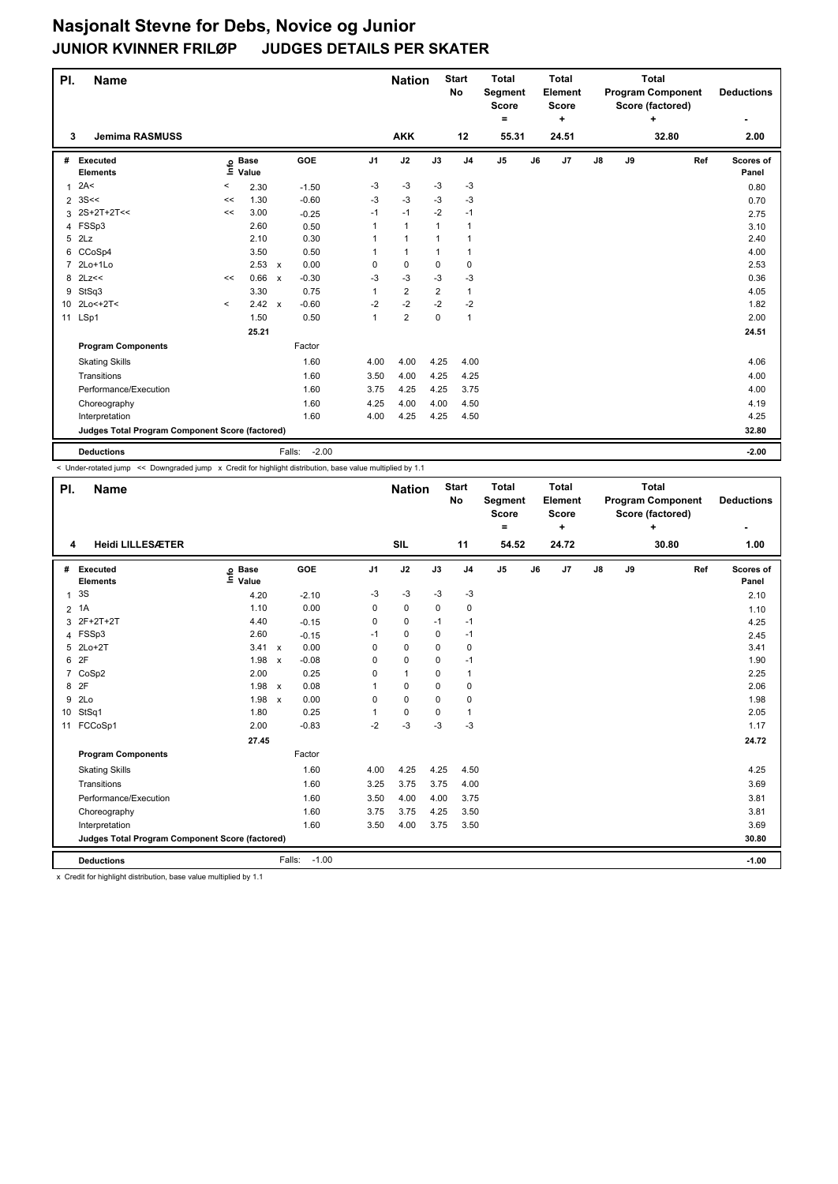| PI.            | <b>Name</b>                                     |         |                            |                         |                | <b>Nation</b>  |             | <b>Start</b><br>No | <b>Total</b><br>Segment<br><b>Score</b><br>$\equiv$ |    | <b>Total</b><br>Element<br><b>Score</b><br>÷ |               |    | <b>Total</b><br><b>Program Component</b><br>Score (factored)<br>÷ |     | <b>Deductions</b>  |
|----------------|-------------------------------------------------|---------|----------------------------|-------------------------|----------------|----------------|-------------|--------------------|-----------------------------------------------------|----|----------------------------------------------|---------------|----|-------------------------------------------------------------------|-----|--------------------|
| 3              | <b>Jemima RASMUSS</b>                           |         |                            |                         |                | <b>AKK</b>     |             | 12                 | 55.31                                               |    | 24.51                                        |               |    | 32.80                                                             |     | 2.00               |
| #              | <b>Executed</b><br><b>Elements</b>              |         | e Base<br>E Value<br>Value | GOE                     | J <sub>1</sub> | J2             | J3          | J <sub>4</sub>     | J <sub>5</sub>                                      | J6 | J7                                           | $\mathsf{J}8$ | J9 |                                                                   | Ref | Scores of<br>Panel |
| $\mathbf{1}$   | 2A<                                             | $\,<$   | 2.30                       | $-1.50$                 | $-3$           | $-3$           | $-3$        | $-3$               |                                                     |    |                                              |               |    |                                                                   |     | 0.80               |
| 2              | 3S<<                                            | <<      | 1.30                       | $-0.60$                 | $-3$           | $-3$           | $-3$        | $-3$               |                                                     |    |                                              |               |    |                                                                   |     | 0.70               |
|                | 3 2S+2T+2T<<                                    | <<      | 3.00                       | $-0.25$                 | $-1$           | $-1$           | $-2$        | $-1$               |                                                     |    |                                              |               |    |                                                                   |     | 2.75               |
| 4              | FSSp3                                           |         | 2.60                       | 0.50                    | 1              | $\mathbf{1}$   | 1           | $\mathbf{1}$       |                                                     |    |                                              |               |    |                                                                   |     | 3.10               |
| 5              | 2Lz                                             |         | 2.10                       | 0.30                    |                | 1              | $\mathbf 1$ | 1                  |                                                     |    |                                              |               |    |                                                                   |     | 2.40               |
| 6              | CCoSp4                                          |         | 3.50                       | 0.50                    |                | $\mathbf{1}$   | 1           | $\mathbf{1}$       |                                                     |    |                                              |               |    |                                                                   |     | 4.00               |
| $\overline{7}$ | 2Lo+1Lo                                         |         | $2.53 \times$              | 0.00                    | $\Omega$       | $\mathbf 0$    | $\Omega$    | 0                  |                                                     |    |                                              |               |    |                                                                   |     | 2.53               |
| 8              | 2Lz<<                                           | <<      | 0.66                       | $-0.30$<br>$\mathsf{x}$ | $-3$           | $-3$           | $-3$        | $-3$               |                                                     |    |                                              |               |    |                                                                   |     | 0.36               |
| 9              | StSq3                                           |         | 3.30                       | 0.75                    | 1              | $\overline{2}$ | 2           | 1                  |                                                     |    |                                              |               |    |                                                                   |     | 4.05               |
|                | 10 2Lo<+2T<                                     | $\prec$ | 2.42 x                     | $-0.60$                 | $-2$           | $-2$           | $-2$        | $-2$               |                                                     |    |                                              |               |    |                                                                   |     | 1.82               |
|                | 11 LSp1                                         |         | 1.50                       | 0.50                    | $\mathbf{1}$   | $\overline{2}$ | $\mathbf 0$ | $\mathbf{1}$       |                                                     |    |                                              |               |    |                                                                   |     | 2.00               |
|                |                                                 |         | 25.21                      |                         |                |                |             |                    |                                                     |    |                                              |               |    |                                                                   |     | 24.51              |
|                | <b>Program Components</b>                       |         |                            | Factor                  |                |                |             |                    |                                                     |    |                                              |               |    |                                                                   |     |                    |
|                | <b>Skating Skills</b>                           |         |                            | 1.60                    | 4.00           | 4.00           | 4.25        | 4.00               |                                                     |    |                                              |               |    |                                                                   |     | 4.06               |
|                | Transitions                                     |         |                            | 1.60                    | 3.50           | 4.00           | 4.25        | 4.25               |                                                     |    |                                              |               |    |                                                                   |     | 4.00               |
|                | Performance/Execution                           |         |                            | 1.60                    | 3.75           | 4.25           | 4.25        | 3.75               |                                                     |    |                                              |               |    |                                                                   |     | 4.00               |
|                | Choreography                                    |         |                            | 1.60                    | 4.25           | 4.00           | 4.00        | 4.50               |                                                     |    |                                              |               |    |                                                                   |     | 4.19               |
|                | Interpretation                                  |         |                            | 1.60                    | 4.00           | 4.25           | 4.25        | 4.50               |                                                     |    |                                              |               |    |                                                                   |     | 4.25               |
|                | Judges Total Program Component Score (factored) |         |                            |                         |                |                |             |                    |                                                     |    |                                              |               |    |                                                                   |     | 32.80              |
|                | <b>Deductions</b>                               |         |                            | $-2.00$<br>Falls:       |                |                |             |                    |                                                     |    |                                              |               |    |                                                                   |     | $-2.00$            |

< Under-rotated jump << Downgraded jump x Credit for highlight distribution, base value multiplied by 1.1

| PI.            | <b>Name</b>                                     |                            |                                      |                | <b>Nation</b> |          | <b>Start</b><br><b>No</b> | <b>Total</b><br>Segment<br><b>Score</b><br>۰ |    | <b>Total</b><br>Element<br><b>Score</b><br>÷ |               |    | <b>Total</b><br><b>Program Component</b><br>Score (factored)<br>÷ |     | <b>Deductions</b>  |
|----------------|-------------------------------------------------|----------------------------|--------------------------------------|----------------|---------------|----------|---------------------------|----------------------------------------------|----|----------------------------------------------|---------------|----|-------------------------------------------------------------------|-----|--------------------|
| 4              | <b>Heidi LILLESÆTER</b>                         |                            |                                      |                | <b>SIL</b>    |          | 11                        | 54.52                                        |    | 24.72                                        |               |    | 30.80                                                             |     | 1.00               |
| #              | <b>Executed</b><br><b>Elements</b>              | e Base<br>E Value<br>Value | <b>GOE</b>                           | J <sub>1</sub> | J2            | J3       | J <sub>4</sub>            | J <sub>5</sub>                               | J6 | J7                                           | $\mathsf{J}8$ | J9 |                                                                   | Ref | Scores of<br>Panel |
| $\mathbf{1}$   | 3S                                              | 4.20                       | $-2.10$                              | -3             | $-3$          | -3       | $-3$                      |                                              |    |                                              |               |    |                                                                   |     | 2.10               |
| $\overline{2}$ | 1A                                              | 1.10                       | 0.00                                 | 0              | $\mathbf 0$   | 0        | 0                         |                                              |    |                                              |               |    |                                                                   |     | 1.10               |
| 3              | 2F+2T+2T                                        | 4.40                       | $-0.15$                              | $\Omega$       | $\Omega$      | $-1$     | $-1$                      |                                              |    |                                              |               |    |                                                                   |     | 4.25               |
|                | 4 FSSp3                                         | 2.60                       | $-0.15$                              | $-1$           | 0             | $\Omega$ | $-1$                      |                                              |    |                                              |               |    |                                                                   |     | 2.45               |
| 5              | $2Lo+2T$                                        | 3.41 x                     | 0.00                                 | $\Omega$       | $\mathbf 0$   | 0        | 0                         |                                              |    |                                              |               |    |                                                                   |     | 3.41               |
| 6              | 2F                                              | 1.98                       | $-0.08$<br>$\boldsymbol{\mathsf{x}}$ | 0              | $\mathbf 0$   | 0        | $-1$                      |                                              |    |                                              |               |    |                                                                   |     | 1.90               |
| $\overline{7}$ | CoSp2                                           | 2.00                       | 0.25                                 | 0              | $\mathbf{1}$  | 0        | $\mathbf{1}$              |                                              |    |                                              |               |    |                                                                   |     | 2.25               |
| 8              | 2F                                              | 1.98                       | 0.08<br>$\boldsymbol{\mathsf{x}}$    | 1              | 0             | 0        | 0                         |                                              |    |                                              |               |    |                                                                   |     | 2.06               |
| 9              | 2Lo                                             | 1.98                       | 0.00<br>$\boldsymbol{\mathsf{x}}$    | $\Omega$       | 0             | 0        | 0                         |                                              |    |                                              |               |    |                                                                   |     | 1.98               |
| 10             | StSq1                                           | 1.80                       | 0.25                                 | 1              | $\pmb{0}$     | 0        | 1                         |                                              |    |                                              |               |    |                                                                   |     | 2.05               |
| 11             | FCCoSp1                                         | 2.00                       | $-0.83$                              | $-2$           | $-3$          | -3       | -3                        |                                              |    |                                              |               |    |                                                                   |     | 1.17               |
|                |                                                 | 27.45                      |                                      |                |               |          |                           |                                              |    |                                              |               |    |                                                                   |     | 24.72              |
|                | <b>Program Components</b>                       |                            | Factor                               |                |               |          |                           |                                              |    |                                              |               |    |                                                                   |     |                    |
|                | <b>Skating Skills</b>                           |                            | 1.60                                 | 4.00           | 4.25          | 4.25     | 4.50                      |                                              |    |                                              |               |    |                                                                   |     | 4.25               |
|                | Transitions                                     |                            | 1.60                                 | 3.25           | 3.75          | 3.75     | 4.00                      |                                              |    |                                              |               |    |                                                                   |     | 3.69               |
|                | Performance/Execution                           |                            | 1.60                                 | 3.50           | 4.00          | 4.00     | 3.75                      |                                              |    |                                              |               |    |                                                                   |     | 3.81               |
|                | Choreography                                    |                            | 1.60                                 | 3.75           | 3.75          | 4.25     | 3.50                      |                                              |    |                                              |               |    |                                                                   |     | 3.81               |
|                | Interpretation                                  |                            | 1.60                                 | 3.50           | 4.00          | 3.75     | 3.50                      |                                              |    |                                              |               |    |                                                                   |     | 3.69               |
|                | Judges Total Program Component Score (factored) |                            |                                      |                |               |          |                           |                                              |    |                                              |               |    |                                                                   |     | 30.80              |
|                | <b>Deductions</b>                               |                            | Falls:<br>$-1.00$                    |                |               |          |                           |                                              |    |                                              |               |    |                                                                   |     | $-1.00$            |

x Credit for highlight distribution, base value multiplied by 1.1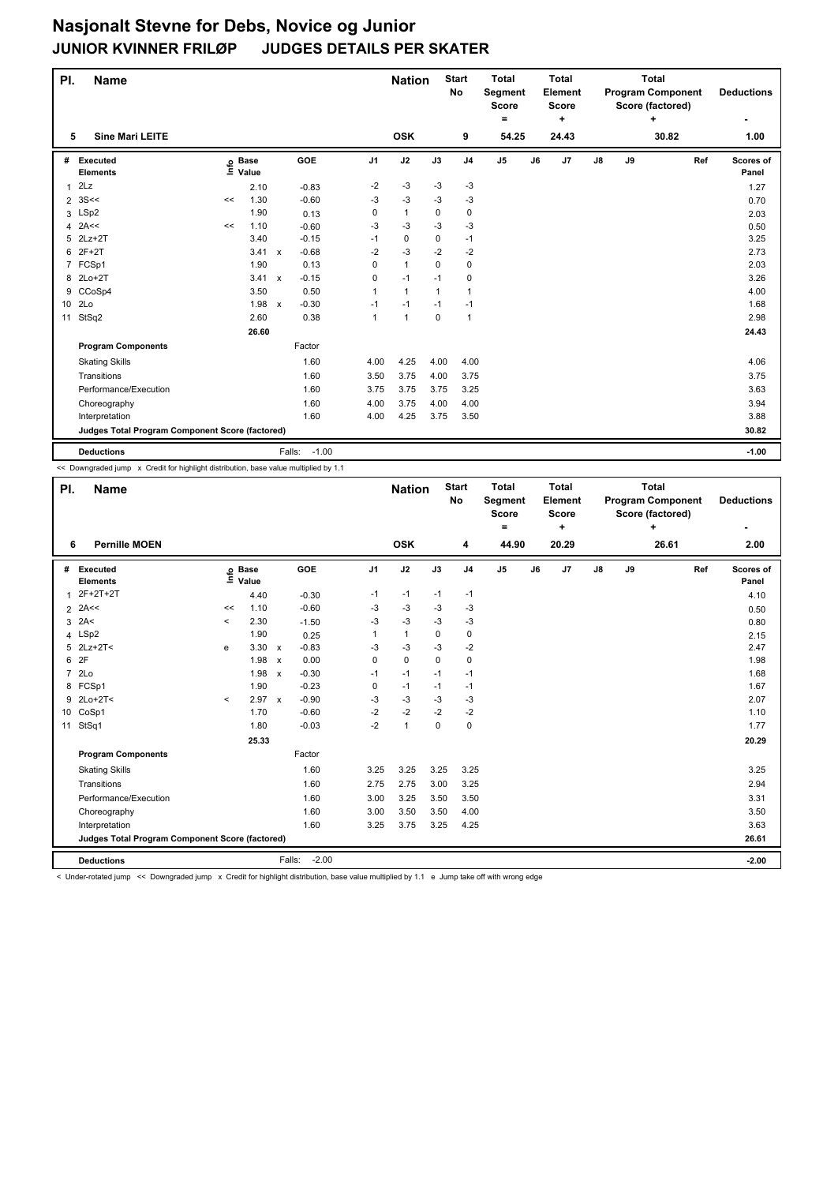| PI.             | <b>Name</b>                                     |    |                   |                           |            |                | <b>Nation</b> |              | <b>Start</b><br><b>No</b> | <b>Total</b><br>Segment<br><b>Score</b><br>$=$ |    | <b>Total</b><br>Element<br><b>Score</b><br>÷ |               |    | <b>Total</b><br><b>Program Component</b><br>Score (factored)<br>÷ |     | <b>Deductions</b>  |
|-----------------|-------------------------------------------------|----|-------------------|---------------------------|------------|----------------|---------------|--------------|---------------------------|------------------------------------------------|----|----------------------------------------------|---------------|----|-------------------------------------------------------------------|-----|--------------------|
| 5               | <b>Sine Mari LEITE</b>                          |    |                   |                           |            |                | <b>OSK</b>    |              | 9                         | 54.25                                          |    | 24.43                                        |               |    | 30.82                                                             |     | 1.00               |
| #               | Executed<br><b>Elements</b>                     |    | e Base<br>⊑ Value |                           | <b>GOE</b> | J <sub>1</sub> | J2            | J3           | J <sub>4</sub>            | J5                                             | J6 | J7                                           | $\mathsf{J}8$ | J9 |                                                                   | Ref | Scores of<br>Panel |
| 1               | 2Lz                                             |    | 2.10              |                           | $-0.83$    | -2             | -3            | -3           | -3                        |                                                |    |                                              |               |    |                                                                   |     | 1.27               |
|                 | $2 \, 3S <$                                     | << | 1.30              |                           | $-0.60$    | $-3$           | $-3$          | $-3$         | $-3$                      |                                                |    |                                              |               |    |                                                                   |     | 0.70               |
|                 | 3 LSp2                                          |    | 1.90              |                           | 0.13       | 0              | $\mathbf{1}$  | 0            | $\mathbf 0$               |                                                |    |                                              |               |    |                                                                   |     | 2.03               |
| 4               | 2A<<                                            | << | 1.10              |                           | $-0.60$    | -3             | $-3$          | $-3$         | $-3$                      |                                                |    |                                              |               |    |                                                                   |     | 0.50               |
| 5               | $2Lz+2T$                                        |    | 3.40              |                           | $-0.15$    | $-1$           | $\mathbf 0$   | 0            | $-1$                      |                                                |    |                                              |               |    |                                                                   |     | 3.25               |
| 6               | $2F+2T$                                         |    | 3.41              | $\boldsymbol{\mathsf{x}}$ | $-0.68$    | $-2$           | $-3$          | $-2$         | $-2$                      |                                                |    |                                              |               |    |                                                                   |     | 2.73               |
|                 | 7 FCSp1                                         |    | 1.90              |                           | 0.13       | $\Omega$       | $\mathbf{1}$  | 0            | $\mathbf 0$               |                                                |    |                                              |               |    |                                                                   |     | 2.03               |
|                 | 8 2Lo+2T                                        |    | 3.41              | $\mathsf{x}$              | $-0.15$    | 0              | $-1$          | $-1$         | $\mathbf 0$               |                                                |    |                                              |               |    |                                                                   |     | 3.26               |
| 9               | CCoSp4                                          |    | 3.50              |                           | 0.50       | 1              | $\mathbf{1}$  | $\mathbf{1}$ | $\mathbf{1}$              |                                                |    |                                              |               |    |                                                                   |     | 4.00               |
| 10 <sup>1</sup> | 2Lo                                             |    | 1.98              | $\boldsymbol{\mathsf{x}}$ | $-0.30$    | $-1$           | $-1$          | $-1$         | $-1$                      |                                                |    |                                              |               |    |                                                                   |     | 1.68               |
| 11              | StSq2                                           |    | 2.60              |                           | 0.38       | $\mathbf{1}$   | $\mathbf{1}$  | $\Omega$     | $\mathbf{1}$              |                                                |    |                                              |               |    |                                                                   |     | 2.98               |
|                 |                                                 |    | 26.60             |                           |            |                |               |              |                           |                                                |    |                                              |               |    |                                                                   |     | 24.43              |
|                 | <b>Program Components</b>                       |    |                   |                           | Factor     |                |               |              |                           |                                                |    |                                              |               |    |                                                                   |     |                    |
|                 | <b>Skating Skills</b>                           |    |                   |                           | 1.60       | 4.00           | 4.25          | 4.00         | 4.00                      |                                                |    |                                              |               |    |                                                                   |     | 4.06               |
|                 | Transitions                                     |    |                   |                           | 1.60       | 3.50           | 3.75          | 4.00         | 3.75                      |                                                |    |                                              |               |    |                                                                   |     | 3.75               |
|                 | Performance/Execution                           |    |                   |                           | 1.60       | 3.75           | 3.75          | 3.75         | 3.25                      |                                                |    |                                              |               |    |                                                                   |     | 3.63               |
|                 | Choreography                                    |    |                   |                           | 1.60       | 4.00           | 3.75          | 4.00         | 4.00                      |                                                |    |                                              |               |    |                                                                   |     | 3.94               |
|                 | Interpretation                                  |    |                   |                           | 1.60       | 4.00           | 4.25          | 3.75         | 3.50                      |                                                |    |                                              |               |    |                                                                   |     | 3.88               |
|                 | Judges Total Program Component Score (factored) |    |                   |                           |            |                |               |              |                           |                                                |    |                                              |               |    |                                                                   |     | 30.82              |
|                 | <b>Deductions</b>                               |    |                   | Falls:                    | $-1.00$    |                |               |              |                           |                                                |    |                                              |               |    |                                                                   |     | $-1.00$            |

<< Downgraded jump x Credit for highlight distribution, base value multiplied by 1.1

| PI.            | <b>Name</b>                                     |          |                            |                                      |                | <b>Nation</b> |             | <b>Start</b><br><b>No</b> | <b>Total</b><br>Segment<br><b>Score</b><br>۰ |    | <b>Total</b><br>Element<br><b>Score</b><br>٠ |               |    | <b>Total</b><br><b>Program Component</b><br>Score (factored)<br>٠ |     | <b>Deductions</b>  |
|----------------|-------------------------------------------------|----------|----------------------------|--------------------------------------|----------------|---------------|-------------|---------------------------|----------------------------------------------|----|----------------------------------------------|---------------|----|-------------------------------------------------------------------|-----|--------------------|
| 6              | <b>Pernille MOEN</b>                            |          |                            |                                      |                | <b>OSK</b>    |             | 4                         | 44.90                                        |    | 20.29                                        |               |    | 26.61                                                             |     | 2.00               |
| #              | Executed<br><b>Elements</b>                     |          | e Base<br>E Value<br>Value | <b>GOE</b>                           | J <sub>1</sub> | J2            | J3          | J <sub>4</sub>            | J <sub>5</sub>                               | J6 | J7                                           | $\mathsf{J}8$ | J9 |                                                                   | Ref | Scores of<br>Panel |
| 1              | 2F+2T+2T                                        |          | 4.40                       | $-0.30$                              | $-1$           | $-1$          | $-1$        | $-1$                      |                                              |    |                                              |               |    |                                                                   |     | 4.10               |
| $\overline{2}$ | 2A<<                                            | <<       | 1.10                       | $-0.60$                              | $-3$           | $-3$          | $-3$        | $-3$                      |                                              |    |                                              |               |    |                                                                   |     | 0.50               |
| 3              | 2A<                                             | $\hat{}$ | 2.30                       | $-1.50$                              | $-3$           | $-3$          | $-3$        | $-3$                      |                                              |    |                                              |               |    |                                                                   |     | 0.80               |
|                | 4 LSp2                                          |          | 1.90                       | 0.25                                 | 1              | $\mathbf{1}$  | 0           | $\mathbf 0$               |                                              |    |                                              |               |    |                                                                   |     | 2.15               |
| 5              | $2Lz+2T2$                                       | e        | 3.30                       | $-0.83$<br>$\boldsymbol{\mathsf{x}}$ | $-3$           | $-3$          | $-3$        | $-2$                      |                                              |    |                                              |               |    |                                                                   |     | 2.47               |
| 6              | 2F                                              |          | 1.98                       | 0.00<br>$\boldsymbol{\mathsf{x}}$    | $\Omega$       | $\mathbf 0$   | $\Omega$    | $\mathbf 0$               |                                              |    |                                              |               |    |                                                                   |     | 1.98               |
| $\overline{7}$ | 2 <sub>LO</sub>                                 |          | 1.98                       | $-0.30$<br>$\boldsymbol{\mathsf{x}}$ | $-1$           | $-1$          | $-1$        | $-1$                      |                                              |    |                                              |               |    |                                                                   |     | 1.68               |
| 8              | FCSp1                                           |          | 1.90                       | $-0.23$                              | $\mathbf 0$    | $-1$          | $-1$        | $-1$                      |                                              |    |                                              |               |    |                                                                   |     | 1.67               |
| 9              | $2Lo+2T<$                                       | $\prec$  | $2.97 \times$              | $-0.90$                              | $-3$           | $-3$          | $-3$        | $-3$                      |                                              |    |                                              |               |    |                                                                   |     | 2.07               |
| 10             | CoSp1                                           |          | 1.70                       | $-0.60$                              | $-2$           | $-2$          | $-2$        | $-2$                      |                                              |    |                                              |               |    |                                                                   |     | 1.10               |
| 11             | StSq1                                           |          | 1.80                       | $-0.03$                              | $-2$           | $\mathbf{1}$  | $\mathbf 0$ | $\mathbf 0$               |                                              |    |                                              |               |    |                                                                   |     | 1.77               |
|                |                                                 |          | 25.33                      |                                      |                |               |             |                           |                                              |    |                                              |               |    |                                                                   |     | 20.29              |
|                | <b>Program Components</b>                       |          |                            | Factor                               |                |               |             |                           |                                              |    |                                              |               |    |                                                                   |     |                    |
|                | <b>Skating Skills</b>                           |          |                            | 1.60                                 | 3.25           | 3.25          | 3.25        | 3.25                      |                                              |    |                                              |               |    |                                                                   |     | 3.25               |
|                | Transitions                                     |          |                            | 1.60                                 | 2.75           | 2.75          | 3.00        | 3.25                      |                                              |    |                                              |               |    |                                                                   |     | 2.94               |
|                | Performance/Execution                           |          |                            | 1.60                                 | 3.00           | 3.25          | 3.50        | 3.50                      |                                              |    |                                              |               |    |                                                                   |     | 3.31               |
|                | Choreography                                    |          |                            | 1.60                                 | 3.00           | 3.50          | 3.50        | 4.00                      |                                              |    |                                              |               |    |                                                                   |     | 3.50               |
|                | Interpretation                                  |          |                            | 1.60                                 | 3.25           | 3.75          | 3.25        | 4.25                      |                                              |    |                                              |               |    |                                                                   |     | 3.63               |
|                | Judges Total Program Component Score (factored) |          |                            |                                      |                |               |             |                           |                                              |    |                                              |               |    |                                                                   |     | 26.61              |
|                | <b>Deductions</b>                               |          |                            | $-2.00$<br>Falls:                    |                |               |             |                           |                                              |    |                                              |               |    |                                                                   |     | $-2.00$            |

< Under-rotated jump << Downgraded jump x Credit for highlight distribution, base value multiplied by 1.1 e Jump take off with wrong edge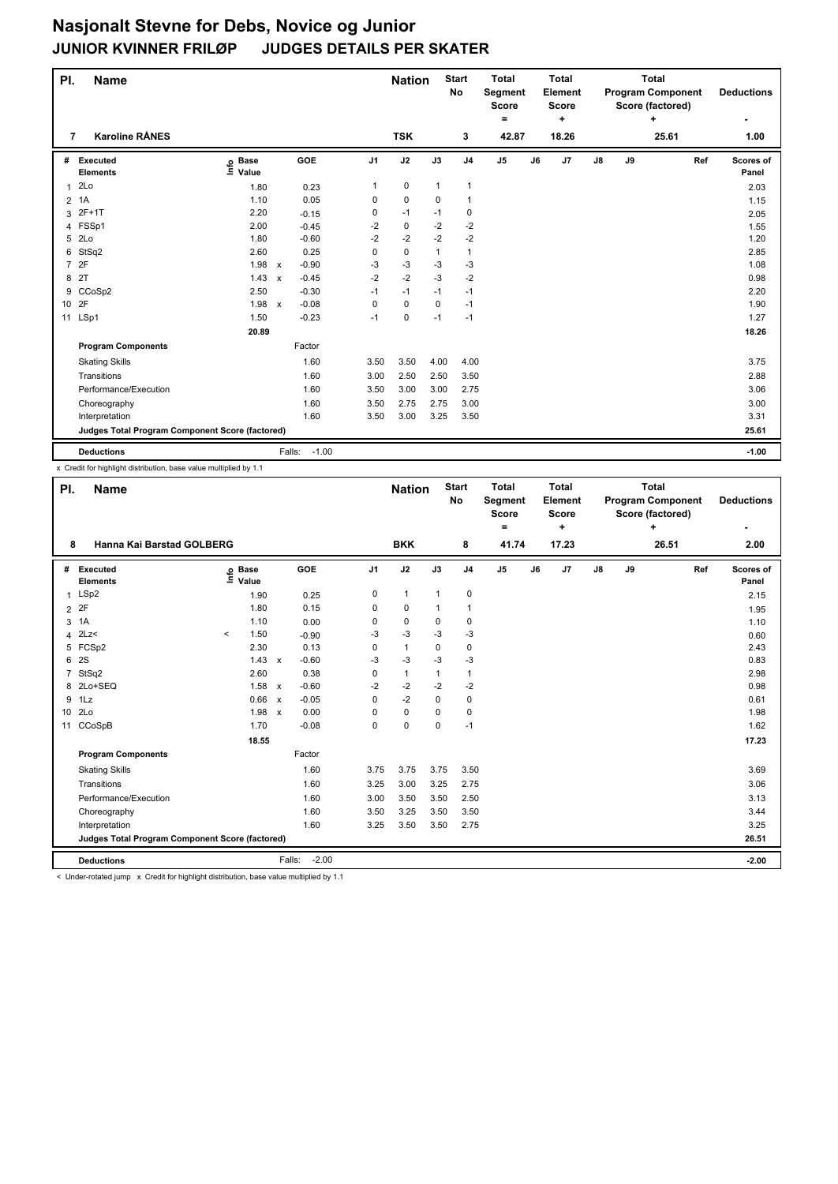| PI.                                             | <b>Name</b>                 |                   |                           |            |                | <b>Nation</b> |              | <b>Start</b><br><b>No</b> | <b>Total</b><br>Segment<br><b>Score</b><br>۰ |    | <b>Total</b><br>Element<br><b>Score</b><br>٠ |               |       | <b>Total</b><br><b>Program Component</b><br>Score (factored)<br>÷ |     | <b>Deductions</b>  |
|-------------------------------------------------|-----------------------------|-------------------|---------------------------|------------|----------------|---------------|--------------|---------------------------|----------------------------------------------|----|----------------------------------------------|---------------|-------|-------------------------------------------------------------------|-----|--------------------|
| 7                                               | <b>Karoline RÅNES</b>       |                   |                           |            |                | <b>TSK</b>    |              | 3                         | 42.87                                        |    | 18.26                                        |               |       | 25.61                                                             |     | 1.00               |
| #                                               | Executed<br><b>Elements</b> | e Base<br>⊑ Value |                           | <b>GOE</b> | J <sub>1</sub> | J2            | J3           | J <sub>4</sub>            | J <sub>5</sub>                               | J6 | J7                                           | $\mathsf{J}8$ | J9    |                                                                   | Ref | Scores of<br>Panel |
| $\mathbf{1}$                                    | 2Lo                         | 1.80              |                           | 0.23       | 1              | 0             | $\mathbf{1}$ | $\mathbf{1}$              |                                              |    |                                              |               |       |                                                                   |     | 2.03               |
| $\overline{2}$                                  | 1A                          | 1.10              |                           | 0.05       | 0              | 0             | 0            | 1                         |                                              |    |                                              |               |       |                                                                   |     | 1.15               |
| 3                                               | 2F+1T                       | 2.20              |                           | $-0.15$    | 0              | $-1$          | $-1$         | 0                         |                                              |    |                                              |               |       |                                                                   |     | 2.05               |
| 4                                               | FSSp1                       | 2.00              |                           | $-0.45$    | -2             | 0             | $-2$         | $-2$                      |                                              |    |                                              |               |       |                                                                   |     | 1.55               |
| 5                                               | 2Lo                         | 1.80              |                           | $-0.60$    | $-2$           | -2            | $-2$         | $-2$                      |                                              |    |                                              |               |       |                                                                   |     | 1.20               |
| 6                                               | StSq2                       | 2.60              |                           | 0.25       | 0              | 0             | $\mathbf{1}$ | $\mathbf{1}$              |                                              |    |                                              |               |       |                                                                   |     | 2.85               |
|                                                 | 7 2F                        | 1.98              | $\boldsymbol{\mathsf{x}}$ | $-0.90$    | $-3$           | -3            | $-3$         | $-3$                      |                                              |    |                                              |               |       |                                                                   |     | 1.08               |
| 8                                               | 2T                          | 1.43              | $\boldsymbol{\mathsf{x}}$ | $-0.45$    | $-2$           | $-2$          | $-3$         | $-2$                      |                                              |    |                                              |               |       |                                                                   |     | 0.98               |
| 9                                               | CCoSp2                      | 2.50              |                           | $-0.30$    | $-1$           | $-1$          | $-1$         | -1                        |                                              |    |                                              |               |       |                                                                   |     | 2.20               |
| 10 2F                                           |                             | 1.98              | $\mathsf{x}$              | $-0.08$    | 0              | 0             | 0            | $-1$                      |                                              |    |                                              |               |       |                                                                   |     | 1.90               |
|                                                 | 11 LSp1                     | 1.50              |                           | $-0.23$    | $-1$           | $\mathbf 0$   | $-1$         | $-1$                      |                                              |    |                                              |               |       |                                                                   |     | 1.27               |
|                                                 |                             | 20.89             |                           |            |                |               |              |                           |                                              |    |                                              |               |       |                                                                   |     | 18.26              |
|                                                 | <b>Program Components</b>   |                   |                           | Factor     |                |               |              |                           |                                              |    |                                              |               |       |                                                                   |     |                    |
|                                                 | <b>Skating Skills</b>       |                   |                           | 1.60       | 3.50           | 3.50          | 4.00         | 4.00                      |                                              |    |                                              |               |       |                                                                   |     | 3.75               |
|                                                 | Transitions                 |                   |                           | 1.60       | 3.00           | 2.50          | 2.50         | 3.50                      |                                              |    |                                              |               |       |                                                                   |     | 2.88               |
|                                                 | Performance/Execution       |                   |                           | 1.60       | 3.50           | 3.00          | 3.00         | 2.75                      |                                              |    |                                              |               |       |                                                                   |     | 3.06               |
|                                                 | Choreography                |                   |                           | 1.60       | 3.50           | 2.75          | 2.75         | 3.00                      |                                              |    |                                              |               |       |                                                                   |     | 3.00               |
|                                                 | Interpretation              |                   |                           | 1.60       | 3.50           | 3.00          | 3.25         | 3.50                      |                                              |    |                                              |               |       |                                                                   |     | 3.31               |
| Judges Total Program Component Score (factored) |                             |                   |                           |            |                |               |              |                           |                                              |    |                                              |               | 25.61 |                                                                   |     |                    |
|                                                 | <b>Deductions</b>           |                   | Falls:                    | $-1.00$    |                |               |              |                           |                                              |    |                                              |               |       |                                                                   |     | $-1.00$            |

x Credit for highlight distribution, base value multiplied by 1.1

| PI.             | <b>Name</b>                                     |         |                            |              |                   |                | <b>Nation</b> |          | <b>Start</b><br>No | <b>Total</b><br>Segment<br><b>Score</b><br>$=$ |    | <b>Total</b><br>Element<br><b>Score</b><br>÷ |               |    | <b>Total</b><br><b>Program Component</b><br>Score (factored)<br>٠ |     | <b>Deductions</b>  |
|-----------------|-------------------------------------------------|---------|----------------------------|--------------|-------------------|----------------|---------------|----------|--------------------|------------------------------------------------|----|----------------------------------------------|---------------|----|-------------------------------------------------------------------|-----|--------------------|
| 8               | Hanna Kai Barstad GOLBERG                       |         |                            |              |                   |                | <b>BKK</b>    |          | 8                  | 41.74                                          |    | 17.23                                        |               |    | 26.51                                                             |     | 2.00               |
|                 | # Executed<br><b>Elements</b>                   |         | e Base<br>E Value<br>Value |              | GOE               | J <sub>1</sub> | J2            | J3       | J <sub>4</sub>     | J <sub>5</sub>                                 | J6 | J7                                           | $\mathsf{J}8$ | J9 |                                                                   | Ref | Scores of<br>Panel |
| $\mathbf{1}$    | LSp2                                            |         | 1.90                       |              | 0.25              | 0              | $\mathbf{1}$  | 1        | 0                  |                                                |    |                                              |               |    |                                                                   |     | 2.15               |
|                 | 2 2F                                            |         | 1.80                       |              | 0.15              | 0              | $\mathbf 0$   |          | 1                  |                                                |    |                                              |               |    |                                                                   |     | 1.95               |
| 3               | 1A                                              |         | 1.10                       |              | 0.00              | 0              | $\mathbf 0$   | $\Omega$ | 0                  |                                                |    |                                              |               |    |                                                                   |     | 1.10               |
| 4               | 2Lz                                             | $\,<\,$ | 1.50                       |              | $-0.90$           | $-3$           | $-3$          | $-3$     | $-3$               |                                                |    |                                              |               |    |                                                                   |     | 0.60               |
|                 | 5 FCSp2                                         |         | 2.30                       |              | 0.13              | 0              | $\mathbf{1}$  | 0        | 0                  |                                                |    |                                              |               |    |                                                                   |     | 2.43               |
|                 | 6 2S                                            |         | 1.43                       | $\mathsf{x}$ | $-0.60$           | $-3$           | $-3$          | $-3$     | $-3$               |                                                |    |                                              |               |    |                                                                   |     | 0.83               |
| $7^{\circ}$     | StSq2                                           |         | 2.60                       |              | 0.38              | 0              | $\mathbf{1}$  | 1        | 1                  |                                                |    |                                              |               |    |                                                                   |     | 2.98               |
|                 | 8 2Lo+SEQ                                       |         | 1.58                       | $\mathsf{x}$ | $-0.60$           | $-2$           | $-2$          | $-2$     | $-2$               |                                                |    |                                              |               |    |                                                                   |     | 0.98               |
|                 | 9 1Lz                                           |         | 0.66                       | $\mathbf{x}$ | $-0.05$           | 0              | $-2$          | 0        | 0                  |                                                |    |                                              |               |    |                                                                   |     | 0.61               |
| 10 <sup>1</sup> | 2Lo                                             |         | 1.98                       | $\mathbf{x}$ | 0.00              | 0              | $\mathbf 0$   | $\Omega$ | 0                  |                                                |    |                                              |               |    |                                                                   |     | 1.98               |
|                 | 11 CCoSpB                                       |         | 1.70                       |              | $-0.08$           | $\Omega$       | $\mathbf 0$   | $\Omega$ | $-1$               |                                                |    |                                              |               |    |                                                                   |     | 1.62               |
|                 |                                                 |         | 18.55                      |              |                   |                |               |          |                    |                                                |    |                                              |               |    |                                                                   |     | 17.23              |
|                 | <b>Program Components</b>                       |         |                            |              | Factor            |                |               |          |                    |                                                |    |                                              |               |    |                                                                   |     |                    |
|                 | <b>Skating Skills</b>                           |         |                            |              | 1.60              | 3.75           | 3.75          | 3.75     | 3.50               |                                                |    |                                              |               |    |                                                                   |     | 3.69               |
|                 | Transitions                                     |         |                            |              | 1.60              | 3.25           | 3.00          | 3.25     | 2.75               |                                                |    |                                              |               |    |                                                                   |     | 3.06               |
|                 | Performance/Execution                           |         |                            |              | 1.60              | 3.00           | 3.50          | 3.50     | 2.50               |                                                |    |                                              |               |    |                                                                   |     | 3.13               |
|                 | Choreography                                    |         |                            |              | 1.60              | 3.50           | 3.25          | 3.50     | 3.50               |                                                |    |                                              |               |    |                                                                   |     | 3.44               |
|                 | Interpretation                                  |         |                            |              | 1.60              | 3.25           | 3.50          | 3.50     | 2.75               |                                                |    |                                              |               |    |                                                                   |     | 3.25               |
|                 | Judges Total Program Component Score (factored) |         |                            |              |                   |                |               |          |                    |                                                |    |                                              |               |    |                                                                   |     | 26.51              |
|                 | <b>Deductions</b>                               |         |                            |              | $-2.00$<br>Falls: |                |               |          |                    |                                                |    |                                              |               |    |                                                                   |     | $-2.00$            |

< Under-rotated jump x Credit for highlight distribution, base value multiplied by 1.1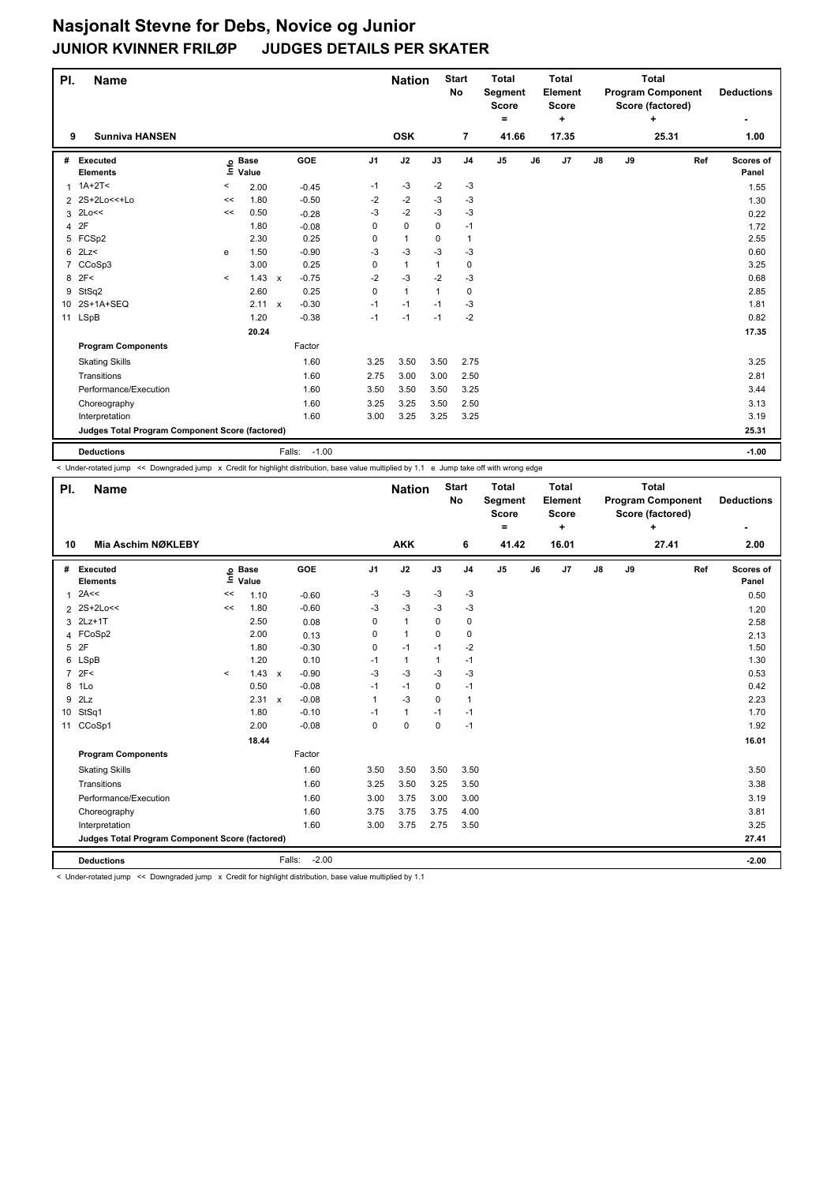| PI. | <b>Name</b>                                     |         |                   |                                      |                | <b>Nation</b> |              | <b>Start</b><br><b>No</b> | <b>Total</b><br>Segment<br><b>Score</b><br>۰ | <b>Total</b><br>Element<br><b>Score</b><br>٠ |               |    | <b>Total</b><br><b>Program Component</b><br>Score (factored)<br>÷ |     | <b>Deductions</b>  |
|-----|-------------------------------------------------|---------|-------------------|--------------------------------------|----------------|---------------|--------------|---------------------------|----------------------------------------------|----------------------------------------------|---------------|----|-------------------------------------------------------------------|-----|--------------------|
| 9   | <b>Sunniva HANSEN</b>                           |         |                   |                                      |                | <b>OSK</b>    |              | $\overline{7}$            | 41.66                                        | 17.35                                        |               |    | 25.31                                                             |     | 1.00               |
| #   | Executed<br><b>Elements</b>                     |         | e Base<br>⊑ Value | <b>GOE</b>                           | J <sub>1</sub> | J2            | J3           | J <sub>4</sub>            | J <sub>5</sub>                               | J7<br>J6                                     | $\mathsf{J}8$ | J9 |                                                                   | Ref | Scores of<br>Panel |
|     | $1.1A+2T5$                                      | $\,<\,$ | 2.00              | $-0.45$                              | $-1$           | $-3$          | $-2$         | $-3$                      |                                              |                                              |               |    |                                                                   |     | 1.55               |
|     | 2 2S+2Lo<<+Lo                                   | <<      | 1.80              | $-0.50$                              | $-2$           | $-2$          | $-3$         | $-3$                      |                                              |                                              |               |    |                                                                   |     | 1.30               |
|     | $3$ 2Lo $<<$                                    | <<      | 0.50              | $-0.28$                              | $-3$           | $-2$          | $-3$         | $-3$                      |                                              |                                              |               |    |                                                                   |     | 0.22               |
| 4   | 2F                                              |         | 1.80              | $-0.08$                              | 0              | $\mathbf 0$   | 0            | $-1$                      |                                              |                                              |               |    |                                                                   |     | 1.72               |
| 5   | FCSp2                                           |         | 2.30              | 0.25                                 | 0              | $\mathbf{1}$  | 0            | $\mathbf{1}$              |                                              |                                              |               |    |                                                                   |     | 2.55               |
| 6   | 2Lz                                             | e       | 1.50              | $-0.90$                              | $-3$           | $-3$          | $-3$         | $-3$                      |                                              |                                              |               |    |                                                                   |     | 0.60               |
| 7   | CCoSp3                                          |         | 3.00              | 0.25                                 | $\mathbf 0$    | $\mathbf{1}$  | $\mathbf{1}$ | $\mathbf 0$               |                                              |                                              |               |    |                                                                   |     | 3.25               |
| 8   | 2F<                                             | $\prec$ | 1.43              | $-0.75$<br>$\boldsymbol{\mathsf{x}}$ | $-2$           | $-3$          | $-2$         | $-3$                      |                                              |                                              |               |    |                                                                   |     | 0.68               |
| 9   | StSq2                                           |         | 2.60              | 0.25                                 | $\mathbf 0$    | $\mathbf{1}$  | 1            | $\mathbf 0$               |                                              |                                              |               |    |                                                                   |     | 2.85               |
| 10  | 2S+1A+SEQ                                       |         | 2.11              | $-0.30$<br>$\boldsymbol{\mathsf{x}}$ | $-1$           | $-1$          | $-1$         | $-3$                      |                                              |                                              |               |    |                                                                   |     | 1.81               |
|     | 11 LSpB                                         |         | 1.20              | $-0.38$                              | $-1$           | $-1$          | $-1$         | $-2$                      |                                              |                                              |               |    |                                                                   |     | 0.82               |
|     |                                                 |         | 20.24             |                                      |                |               |              |                           |                                              |                                              |               |    |                                                                   |     | 17.35              |
|     | <b>Program Components</b>                       |         |                   | Factor                               |                |               |              |                           |                                              |                                              |               |    |                                                                   |     |                    |
|     | <b>Skating Skills</b>                           |         |                   | 1.60                                 | 3.25           | 3.50          | 3.50         | 2.75                      |                                              |                                              |               |    |                                                                   |     | 3.25               |
|     | Transitions                                     |         |                   | 1.60                                 | 2.75           | 3.00          | 3.00         | 2.50                      |                                              |                                              |               |    |                                                                   |     | 2.81               |
|     | Performance/Execution                           |         |                   | 1.60                                 | 3.50           | 3.50          | 3.50         | 3.25                      |                                              |                                              |               |    |                                                                   |     | 3.44               |
|     | Choreography                                    |         |                   | 1.60                                 | 3.25           | 3.25          | 3.50         | 2.50                      |                                              |                                              |               |    |                                                                   |     | 3.13               |
|     | Interpretation                                  |         |                   | 1.60                                 | 3.00           | 3.25          | 3.25         | 3.25                      |                                              |                                              |               |    |                                                                   |     | 3.19               |
|     | Judges Total Program Component Score (factored) |         |                   |                                      |                |               |              |                           |                                              |                                              |               |    |                                                                   |     | 25.31              |
|     | <b>Deductions</b>                               |         |                   | $-1.00$<br>Falls:                    |                |               |              |                           |                                              |                                              |               |    |                                                                   |     | $-1.00$            |

< Under-rotated jump << Downgraded jump x Credit for highlight distribution, base value multiplied by 1.1 e Jump take off with wrong edge

| PI.             | <b>Name</b>                                     |         |                            |                         |                | <b>Nation</b> |             | <b>Start</b><br>No | <b>Total</b><br>Segment<br><b>Score</b><br>٠ |    | Total<br>Element<br><b>Score</b><br>٠ |               |    | Total<br><b>Program Component</b><br>Score (factored)<br>÷ |     | <b>Deductions</b>  |
|-----------------|-------------------------------------------------|---------|----------------------------|-------------------------|----------------|---------------|-------------|--------------------|----------------------------------------------|----|---------------------------------------|---------------|----|------------------------------------------------------------|-----|--------------------|
| 10              | Mia Aschim NØKLEBY                              |         |                            |                         |                | <b>AKK</b>    |             | 6                  | 41.42                                        |    | 16.01                                 |               |    | 27.41                                                      |     | 2.00               |
| #               | Executed<br><b>Elements</b>                     |         | e Base<br>E Value<br>Value | GOE                     | J <sub>1</sub> | J2            | J3          | J <sub>4</sub>     | J <sub>5</sub>                               | J6 | J7                                    | $\mathsf{J}8$ | J9 |                                                            | Ref | Scores of<br>Panel |
| 1               | 2A<<                                            | <<      | 1.10                       | $-0.60$                 | -3             | -3            | -3          | -3                 |                                              |    |                                       |               |    |                                                            |     | 0.50               |
|                 | 2 2 S + 2 Lo <<                                 | <<      | 1.80                       | $-0.60$                 | -3             | $-3$          | -3          | $-3$               |                                              |    |                                       |               |    |                                                            |     | 1.20               |
| 3               | $2Lz+1T$                                        |         | 2.50                       | 0.08                    | 0              | $\mathbf{1}$  | $\Omega$    | 0                  |                                              |    |                                       |               |    |                                                            |     | 2.58               |
|                 | 4 FCoSp2                                        |         | 2.00                       | 0.13                    | 0              | $\mathbf{1}$  | 0           | 0                  |                                              |    |                                       |               |    |                                                            |     | 2.13               |
|                 | 5 2F                                            |         | 1.80                       | $-0.30$                 | $\mathbf 0$    | $-1$          | $-1$        | $-2$               |                                              |    |                                       |               |    |                                                            |     | 1.50               |
| 6               | LSpB                                            |         | 1.20                       | 0.10                    | $-1$           | $\mathbf{1}$  | 1           | $-1$               |                                              |    |                                       |               |    |                                                            |     | 1.30               |
| $\overline{7}$  | 2F<                                             | $\prec$ | 1.43                       | $-0.90$<br>$\mathsf{x}$ | $-3$           | $-3$          | $-3$        | $-3$               |                                              |    |                                       |               |    |                                                            |     | 0.53               |
| 8               | 1Lo                                             |         | 0.50                       | $-0.08$                 | $-1$           | $-1$          | $\mathbf 0$ | $-1$               |                                              |    |                                       |               |    |                                                            |     | 0.42               |
| 9               | 2Lz                                             |         | 2.31                       | $-0.08$<br>$\mathsf{x}$ | $\mathbf{1}$   | $-3$          | $\Omega$    | $\mathbf{1}$       |                                              |    |                                       |               |    |                                                            |     | 2.23               |
| 10 <sup>°</sup> | StSq1                                           |         | 1.80                       | $-0.10$                 | $-1$           | $\mathbf{1}$  | $-1$        | $-1$               |                                              |    |                                       |               |    |                                                            |     | 1.70               |
| 11              | CCoSp1                                          |         | 2.00                       | $-0.08$                 | 0              | $\mathbf 0$   | $\mathbf 0$ | $-1$               |                                              |    |                                       |               |    |                                                            |     | 1.92               |
|                 |                                                 |         | 18.44                      |                         |                |               |             |                    |                                              |    |                                       |               |    |                                                            |     | 16.01              |
|                 | <b>Program Components</b>                       |         |                            | Factor                  |                |               |             |                    |                                              |    |                                       |               |    |                                                            |     |                    |
|                 | <b>Skating Skills</b>                           |         |                            | 1.60                    | 3.50           | 3.50          | 3.50        | 3.50               |                                              |    |                                       |               |    |                                                            |     | 3.50               |
|                 | Transitions                                     |         |                            | 1.60                    | 3.25           | 3.50          | 3.25        | 3.50               |                                              |    |                                       |               |    |                                                            |     | 3.38               |
|                 | Performance/Execution                           |         |                            | 1.60                    | 3.00           | 3.75          | 3.00        | 3.00               |                                              |    |                                       |               |    |                                                            |     | 3.19               |
|                 | Choreography                                    |         |                            | 1.60                    | 3.75           | 3.75          | 3.75        | 4.00               |                                              |    |                                       |               |    |                                                            |     | 3.81               |
|                 | Interpretation                                  |         |                            | 1.60                    | 3.00           | 3.75          | 2.75        | 3.50               |                                              |    |                                       |               |    |                                                            |     | 3.25               |
|                 | Judges Total Program Component Score (factored) |         |                            |                         |                |               |             |                    |                                              |    |                                       |               |    | 27.41                                                      |     |                    |
|                 | <b>Deductions</b>                               |         |                            | Falls:                  | $-2.00$        |               |             |                    |                                              |    |                                       |               |    |                                                            |     | $-2.00$            |

< Under-rotated jump << Downgraded jump x Credit for highlight distribution, base value multiplied by 1.1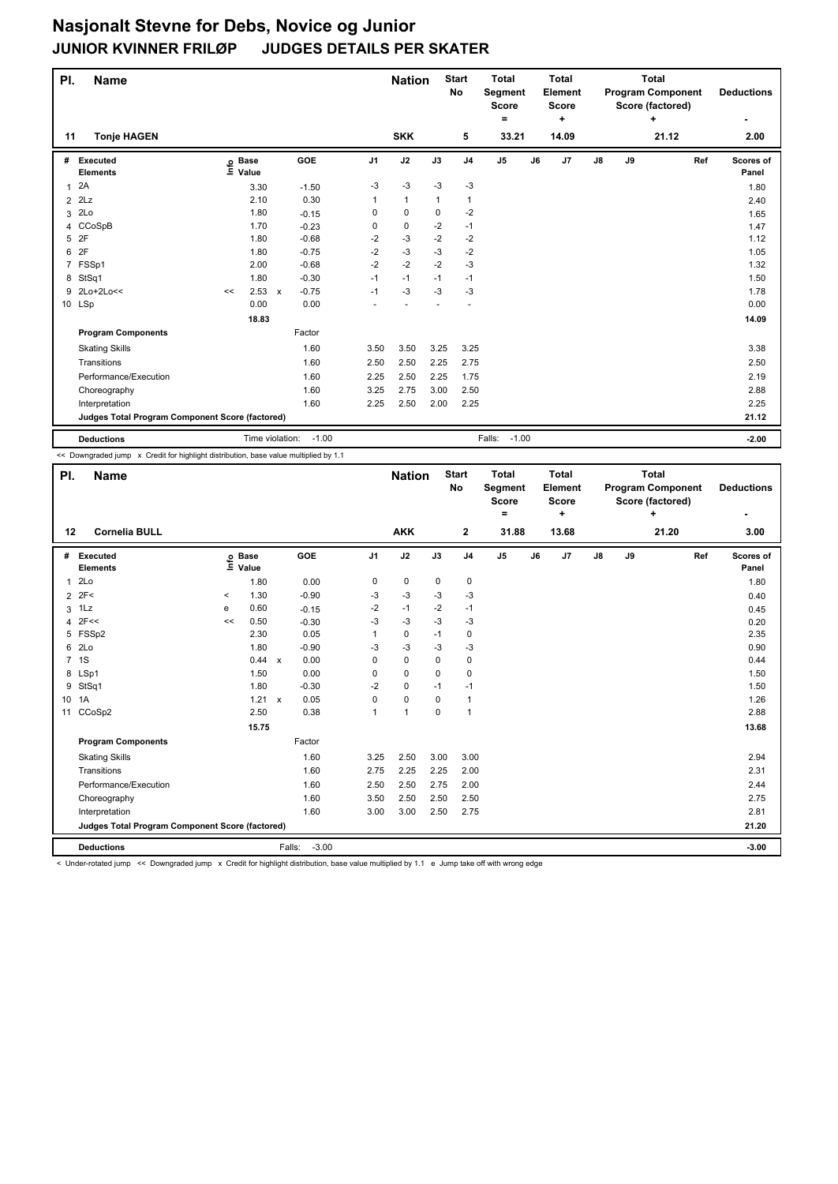| PI.            | <b>Name</b>                                     |                   |       |                                      |      | <b>Nation</b> |              | <b>Start</b><br><b>No</b> | <b>Total</b><br>Segment<br><b>Score</b> |    | <b>Total</b><br><b>Element</b><br><b>Score</b> |    |    | <b>Total</b><br><b>Program Component</b><br>Score (factored) |     | <b>Deductions</b>         |
|----------------|-------------------------------------------------|-------------------|-------|--------------------------------------|------|---------------|--------------|---------------------------|-----------------------------------------|----|------------------------------------------------|----|----|--------------------------------------------------------------|-----|---------------------------|
|                |                                                 |                   |       |                                      |      |               |              |                           | ۰                                       |    | ٠                                              |    |    | ÷                                                            |     | ۰                         |
| 11             | <b>Tonje HAGEN</b>                              |                   |       |                                      |      | <b>SKK</b>    |              | 5                         | 33.21                                   |    | 14.09                                          |    |    | 21.12                                                        |     | 2.00                      |
| #              | <b>Executed</b><br><b>Elements</b>              | e Base<br>⊑ Value |       | <b>GOE</b>                           | J1   | J2            | J3           | J <sub>4</sub>            | J <sub>5</sub>                          | J6 | J7                                             | J8 | J9 |                                                              | Ref | <b>Scores of</b><br>Panel |
| 1              | 2A                                              |                   | 3.30  | $-1.50$                              | -3   | $-3$          | $-3$         | $-3$                      |                                         |    |                                                |    |    |                                                              |     | 1.80                      |
| $\overline{2}$ | 2Lz                                             |                   | 2.10  | 0.30                                 | 1    | $\mathbf{1}$  | $\mathbf{1}$ | 1                         |                                         |    |                                                |    |    |                                                              |     | 2.40                      |
| 3              | 2Lo                                             |                   | 1.80  | $-0.15$                              | 0    | 0             | 0            | $-2$                      |                                         |    |                                                |    |    |                                                              |     | 1.65                      |
| 4              | CCoSpB                                          |                   | 1.70  | $-0.23$                              | 0    | 0             | $-2$         | $-1$                      |                                         |    |                                                |    |    |                                                              |     | 1.47                      |
| 5              | 2F                                              |                   | 1.80  | $-0.68$                              | -2   | -3            | $-2$         | $-2$                      |                                         |    |                                                |    |    |                                                              |     | 1.12                      |
| 6              | 2F                                              |                   | 1.80  | $-0.75$                              | $-2$ | $-3$          | $-3$         | $-2$                      |                                         |    |                                                |    |    |                                                              |     | 1.05                      |
|                | 7 FSSp1                                         |                   | 2.00  | $-0.68$                              | $-2$ | $-2$          | $-2$         | $-3$                      |                                         |    |                                                |    |    |                                                              |     | 1.32                      |
| 8              | StSq1                                           |                   | 1.80  | $-0.30$                              | $-1$ | $-1$          | $-1$         | $-1$                      |                                         |    |                                                |    |    |                                                              |     | 1.50                      |
| 9              | 2Lo+2Lo<<                                       | <<                | 2.53  | $-0.75$<br>$\boldsymbol{\mathsf{x}}$ | $-1$ | -3            | $-3$         | -3                        |                                         |    |                                                |    |    |                                                              |     | 1.78                      |
|                | 10 LSp                                          |                   | 0.00  | 0.00                                 |      |               |              |                           |                                         |    |                                                |    |    |                                                              |     | 0.00                      |
|                |                                                 |                   | 18.83 |                                      |      |               |              |                           |                                         |    |                                                |    |    |                                                              |     | 14.09                     |
|                | <b>Program Components</b>                       |                   |       | Factor                               |      |               |              |                           |                                         |    |                                                |    |    |                                                              |     |                           |
|                | <b>Skating Skills</b>                           |                   |       | 1.60                                 | 3.50 | 3.50          | 3.25         | 3.25                      |                                         |    |                                                |    |    |                                                              |     | 3.38                      |
|                | Transitions                                     |                   |       | 1.60                                 | 2.50 | 2.50          | 2.25         | 2.75                      |                                         |    |                                                |    |    |                                                              |     | 2.50                      |
|                | Performance/Execution                           |                   |       | 1.60                                 | 2.25 | 2.50          | 2.25         | 1.75                      |                                         |    |                                                |    |    |                                                              |     | 2.19                      |
|                | Choreography                                    |                   |       | 1.60                                 | 3.25 | 2.75          | 3.00         | 2.50                      |                                         |    |                                                |    |    |                                                              |     | 2.88                      |
|                | Interpretation                                  |                   |       | 1.60                                 | 2.25 | 2.50          | 2.00         | 2.25                      |                                         |    |                                                |    |    |                                                              |     | 2.25                      |
|                | Judges Total Program Component Score (factored) |                   |       |                                      |      |               |              |                           |                                         |    |                                                |    |    |                                                              |     | 21.12                     |
|                | <b>Deductions</b>                               |                   |       | $-1.00$<br>Time violation:           |      |               |              |                           | $-1.00$<br>Falls:                       |    |                                                |    |    |                                                              |     | $-2.00$                   |

<< Downgraded jump x Credit for highlight distribution, base value multiplied by 1.1

| PI.            | <b>Name</b>                                     |         |                   |                      |                | <b>Nation</b> |          | <b>Start</b><br><b>No</b> | <b>Total</b><br>Segment<br><b>Score</b><br>$=$ |    | <b>Total</b><br>Element<br><b>Score</b><br>÷ |               |    | <b>Total</b><br><b>Program Component</b><br>Score (factored)<br>÷ |     | <b>Deductions</b>  |
|----------------|-------------------------------------------------|---------|-------------------|----------------------|----------------|---------------|----------|---------------------------|------------------------------------------------|----|----------------------------------------------|---------------|----|-------------------------------------------------------------------|-----|--------------------|
| 12             | <b>Cornelia BULL</b>                            |         |                   |                      |                | <b>AKK</b>    |          | $\mathbf{2}$              | 31.88                                          |    | 13.68                                        |               |    | 21.20                                                             |     | 3.00               |
| #              | <b>Executed</b><br><b>Elements</b>              |         | e Base<br>⊑ Value | <b>GOE</b>           | J <sub>1</sub> | J2            | J3       | J <sub>4</sub>            | J <sub>5</sub>                                 | J6 | J <sub>7</sub>                               | $\mathsf{J}8$ | J9 |                                                                   | Ref | Scores of<br>Panel |
| 1              | 2Lo                                             |         | 1.80              | 0.00                 | 0              | 0             | 0        | $\mathbf 0$               |                                                |    |                                              |               |    |                                                                   |     | 1.80               |
| $\overline{2}$ | 2F<                                             | $\prec$ | 1.30              | $-0.90$              | $-3$           | -3            | $-3$     | $-3$                      |                                                |    |                                              |               |    |                                                                   |     | 0.40               |
| 3              | 1Lz                                             | e       | 0.60              | $-0.15$              | $-2$           | $-1$          | $-2$     | $-1$                      |                                                |    |                                              |               |    |                                                                   |     | 0.45               |
| $\overline{4}$ | 2F<<                                            | <<      | 0.50              | $-0.30$              | -3             | $-3$          | $-3$     | $-3$                      |                                                |    |                                              |               |    |                                                                   |     | 0.20               |
|                | 5 FSSp2                                         |         | 2.30              | 0.05                 | 1              | $\pmb{0}$     | $-1$     | $\mathbf 0$               |                                                |    |                                              |               |    |                                                                   |     | 2.35               |
| 6              | 2 <sub>LO</sub>                                 |         | 1.80              | $-0.90$              | $-3$           | $-3$          | $-3$     | $-3$                      |                                                |    |                                              |               |    |                                                                   |     | 0.90               |
|                | 7 1S                                            |         | 0.44              | 0.00<br>$\mathsf{x}$ | $\Omega$       | $\mathbf 0$   | 0        | 0                         |                                                |    |                                              |               |    |                                                                   |     | 0.44               |
|                | 8 LSp1                                          |         | 1.50              | 0.00                 | 0              | $\mathbf 0$   | 0        | 0                         |                                                |    |                                              |               |    |                                                                   |     | 1.50               |
| 9              | StSq1                                           |         | 1.80              | $-0.30$              | $-2$           | 0             | $-1$     | $-1$                      |                                                |    |                                              |               |    |                                                                   |     | 1.50               |
|                | 10 1A                                           |         | 1.21 x            | 0.05                 | 0              | 0             | 0        | $\mathbf{1}$              |                                                |    |                                              |               |    |                                                                   |     | 1.26               |
| 11             | CCoSp2                                          |         | 2.50              | 0.38                 | 1              | $\mathbf{1}$  | $\Omega$ | $\mathbf{1}$              |                                                |    |                                              |               |    |                                                                   |     | 2.88               |
|                |                                                 |         | 15.75             |                      |                |               |          |                           |                                                |    |                                              |               |    |                                                                   |     | 13.68              |
|                | <b>Program Components</b>                       |         |                   | Factor               |                |               |          |                           |                                                |    |                                              |               |    |                                                                   |     |                    |
|                | <b>Skating Skills</b>                           |         |                   | 1.60                 | 3.25           | 2.50          | 3.00     | 3.00                      |                                                |    |                                              |               |    |                                                                   |     | 2.94               |
|                | Transitions                                     |         |                   | 1.60                 | 2.75           | 2.25          | 2.25     | 2.00                      |                                                |    |                                              |               |    |                                                                   |     | 2.31               |
|                | Performance/Execution                           |         |                   | 1.60                 | 2.50           | 2.50          | 2.75     | 2.00                      |                                                |    |                                              |               |    |                                                                   |     | 2.44               |
|                | Choreography                                    |         |                   | 1.60                 | 3.50           | 2.50          | 2.50     | 2.50                      |                                                |    |                                              |               |    |                                                                   |     | 2.75               |
|                | Interpretation                                  |         |                   | 1.60                 | 3.00           | 3.00          | 2.50     | 2.75                      |                                                |    |                                              |               |    |                                                                   |     | 2.81               |
|                | Judges Total Program Component Score (factored) |         |                   |                      |                |               |          |                           |                                                |    |                                              |               |    |                                                                   |     | 21.20              |
|                | <b>Deductions</b>                               |         |                   | $-3.00$<br>Falls:    |                |               |          |                           |                                                |    |                                              |               |    |                                                                   |     | $-3.00$            |

< Under-rotated jump << Downgraded jump x Credit for highlight distribution, base value multiplied by 1.1 e Jump take off with wrong edge